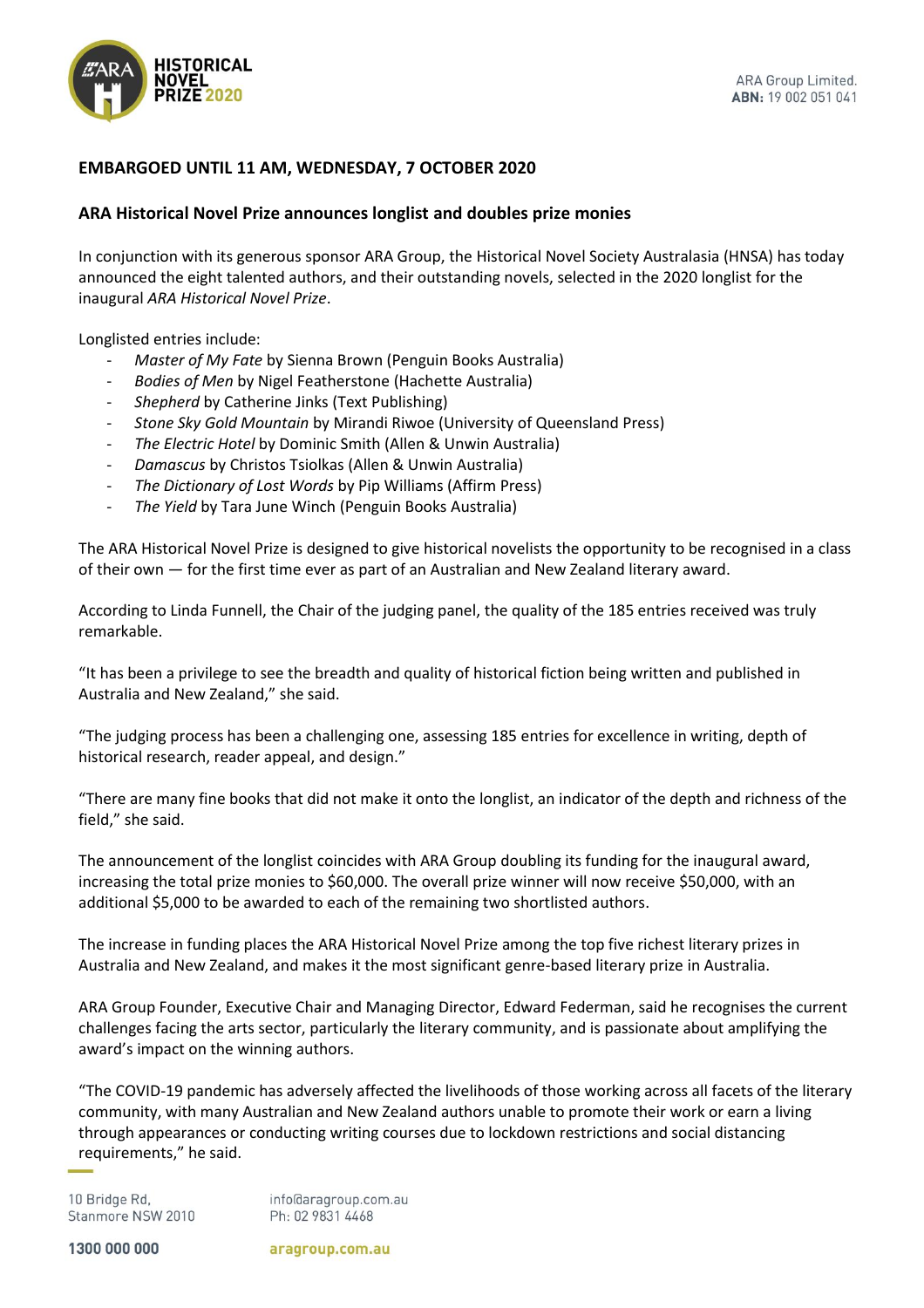

## **EMBARGOED UNTIL 11 AM, WEDNESDAY, 7 OCTOBER 2020**

## **ARA Historical Novel Prize announces longlist and doubles prize monies**

In conjunction with its generous sponsor ARA Group, the Historical Novel Society Australasia (HNSA) has today announced the eight talented authors, and their outstanding novels, selected in the 2020 longlist for the inaugural *ARA Historical Novel Prize*.

Longlisted entries include:

- *Master of My Fate* by Sienna Brown (Penguin Books Australia)
- *Bodies of Men* by Nigel Featherstone (Hachette Australia)
- *Shepherd* by Catherine Jinks (Text Publishing)
- *Stone Sky Gold Mountain* by Mirandi Riwoe (University of Queensland Press)
- *The Electric Hotel* by Dominic Smith (Allen & Unwin Australia)
- *Damascus* by Christos Tsiolkas (Allen & Unwin Australia)
- *The Dictionary of Lost Words* by Pip Williams (Affirm Press)
- *The Yield* by Tara June Winch (Penguin Books Australia)

The ARA Historical Novel Prize is designed to give historical novelists the opportunity to be recognised in a class of their own — for the first time ever as part of an Australian and New Zealand literary award.

According to Linda Funnell, the Chair of the judging panel, the quality of the 185 entries received was truly remarkable.

"It has been a privilege to see the breadth and quality of historical fiction being written and published in Australia and New Zealand," she said.

"The judging process has been a challenging one, assessing 185 entries for excellence in writing, depth of historical research, reader appeal, and design."

"There are many fine books that did not make it onto the longlist, an indicator of the depth and richness of the field," she said.

The announcement of the longlist coincides with ARA Group doubling its funding for the inaugural award, increasing the total prize monies to \$60,000. The overall prize winner will now receive \$50,000, with an additional \$5,000 to be awarded to each of the remaining two shortlisted authors.

The increase in funding places the ARA Historical Novel Prize among the top five richest literary prizes in Australia and New Zealand, and makes it the most significant genre-based literary prize in Australia.

ARA Group Founder, Executive Chair and Managing Director, Edward Federman, said he recognises the current challenges facing the arts sector, particularly the literary community, and is passionate about amplifying the award's impact on the winning authors.

"The COVID-19 pandemic has adversely affected the livelihoods of those working across all facets of the literary community, with many Australian and New Zealand authors unable to promote their work or earn a living through appearances or conducting writing courses due to lockdown restrictions and social distancing requirements," he said.

10 Bridge Rd, Stanmore NSW 2010 info@aragroup.com.au Ph: 02 9831 4468

1300 000 000

aragroup.com.au